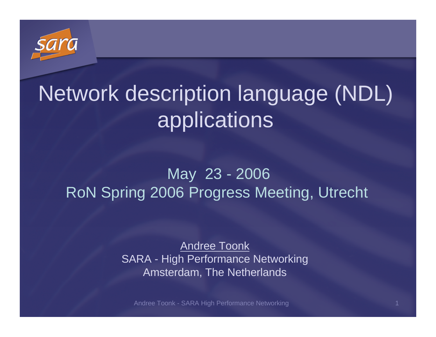

# Network description language (NDL) applications

## May 23 - 2006RoN Spring 2006 Progress Meeting, Utrecht

Andree Toonk SARA - High Performance Networking Amsterdam, The Netherlands

Andree Toonk - SARA High Performance Networkingdiscovered the control of the control of the control of the control of the control of the control of the control of the control of the control of the control of the control of the control of the control of the control of t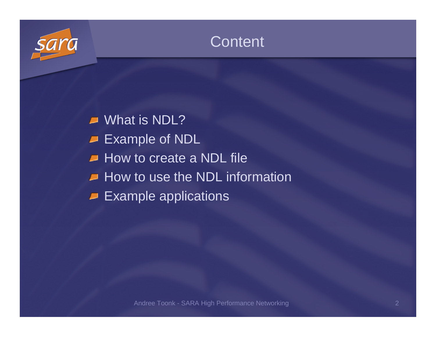



**No. 7 What is NDL? Example of NDL**  $\blacksquare$  How to create a NDL file  $\blacksquare$  How to use the NDL information **Example applications**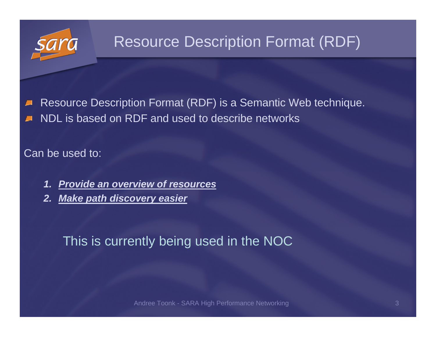

## Resource Description Format (RDF)

Resource Description Format (RDF) is a Semantic Web technique.NDL is based on RDF and used to describe networks $\Box$ 

Can be used to:

- **1. Provide an overview of resources**
- **2. Make path discovery easier**

This is currently being used in the NOC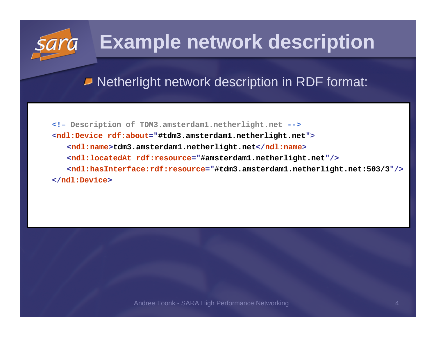# **Example network description**

Netherlight network description in RDF format:

**<!– Description of TDM3.amsterdam1.netherlight.net --> <ndl:Device rdf:about="#tdm3.amsterdam1.netherlight.net"> <ndl:name>tdm3.amsterdam1.netherlight.net</ndl:name><ndl:locatedAt rdf:resource="#amsterdam1.netherlight.net"/> <ndl:hasInterface:rdf:resource="#tdm3.amsterdam1.netherlight.net:503/3"/></ndl:Device>**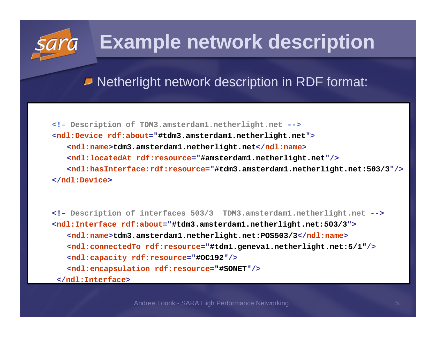# **Example network description**

■ Netherlight network description in RDF format:

**<!– Description of TDM3.amsterdam1.netherlight.net --> <ndl:Device rdf:about="#tdm3.amsterdam1.netherlight.net"> <ndl:name>tdm3.amsterdam1.netherlight.net</ndl:name><ndl:locatedAt rdf:resource="#amsterdam1.netherlight.net"/> <ndl:hasInterface:rdf:resource="#tdm3.amsterdam1.netherlight.net:503/3"/></ndl:Device>**

```
<!– Description of interfaces 503/3 TDM3.amsterdam1.netherlight.net -->
<ndl:Interface rdf:about="#tdm3.amsterdam1.netherlight.net:503/3">
   <ndl:name>tdm3.amsterdam1.netherlight.net:POS503/3</ndl:name>

<ndl:connectedTo rdf:resource="#tdm1.geneva1.netherlight.net:5/1"/>
   <ndl:capacity rdf:resource="#OC192"/>
   <ndl:encapsulation rdf:resource
="#SONET"/></ndl:Interface>
```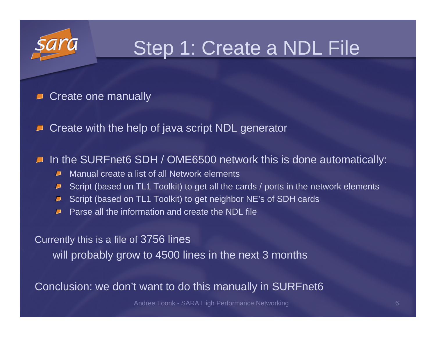

# Step 1: Create a NDL File

#### Create one manually

Create with the help of java script NDL generator $\blacksquare$ 

#### In the SURFnet6 SDH / OME6500 network this is done automatically: ■

- Manual create a list of all Network elements $\blacksquare$
- Script (based on TL1 Toolkit) to get all the cards / ports in the network elementsυ
- Script (based on TL1 Toolkit) to get neighbor NE's of SDH cardsلل
- Parse all the information and create the NDL file

## Currently this is a file of 3756 lineswill probably grow to 4500 lines in the next 3 months

### Conclusion: we don't want to do this manually in SURFnet6

Andree Toonk - SARA High Performance Networking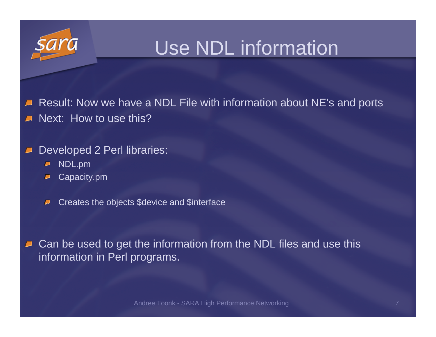

# Use NDL information

Result: Now we have a NDL File with information about NE's and portsNext: How to use this? $\Box$ 

### Developed 2 Perl libraries:

- NDL.pm $\blacksquare$
- Capacity.pm▰
- $\overline{\phantom{a}}$ Creates the objects \$device and \$interface

Can be used to get the information from the NDL files and use this  $\blacksquare$ information in Perl programs.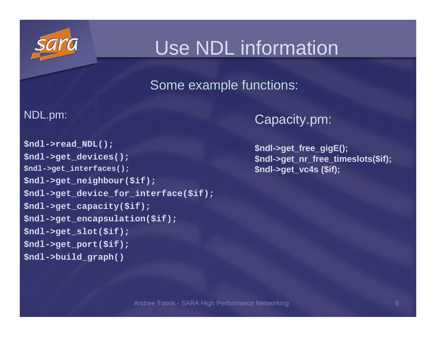

# Use NDL information

Some example functions:

### NDL.pm:

**\$ndl->read\_NDL();\$ndl->get\_devices(); \$ndl->get\_interfaces();\$ndl->get\_neighbour(\$if);\$ndl->get\_device\_for\_interface(\$if);\$ndl->get\_capacity(\$if);\$ndl->get\_encapsulation(\$if);\$ndl->get\_slot(\$if);\$ndl->get\_port(\$if);\$ndl->build\_graph()**

## Capacity.pm:

**\$ndl->get\_free\_gigE(); \$ndl->get\_nr\_free\_timeslots(\$if);\$ndl->get\_vc4s (\$if);**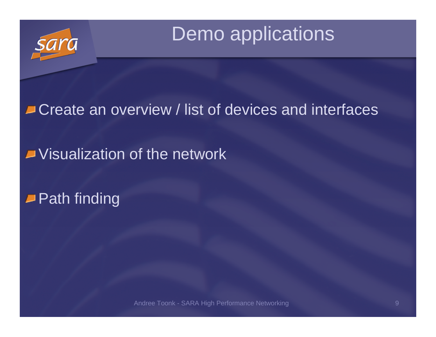

# Demo applications

## **Exercise 20 Interfaces** Aller Vist of devices and interfaces

Visualization of the network

**Path finding**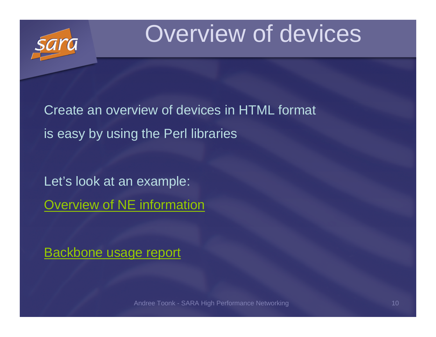

# Overview of devices

Create an overview of devices in HTML formatis easy by using the Perl libraries

Let's look at an example:**Overview of NE information** 

Backbone usage report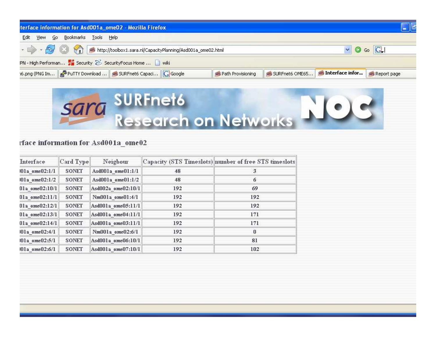



Andree Toonk - SARA High Performance Networking <sup>11</sup>

#### rface information for Asd001a ome02

| Interface           | Card Type    | Neigbour              |     | Capacity (STS Timeslots) number of free STS timeslots |
|---------------------|--------------|-----------------------|-----|-------------------------------------------------------|
| 01a ome02:1/1       | <b>SONET</b> | Asd001a ome01:1/1     | 48  | з                                                     |
| 01a ome02:1/2       | <b>SONET</b> | Asd001a ome01:1/2     | 48  | 6                                                     |
| 01a ome02:10/1      | <b>SONET</b> | Asd002a ome02:10/1    | 192 | 69                                                    |
| $01a$ ome $02:11/1$ | SONET        | Nm001a ome01:4/1      | 192 | 192                                                   |
| 01a ome02:12/1      | SONET        | Asd001a ome05:11/1    | 192 | 192                                                   |
| 01a ome02:13/1      | <b>SONET</b> | Asd001a $ome04:11/1$  | 192 | 171                                                   |
| $01a$ ome $02:14/1$ | <b>SONET</b> | Asd001a ome03:11/1    | 192 | 171                                                   |
| 01a ome02:4/1       | <b>SONET</b> | $Nm001a$ ome $02:6/1$ | 192 | n                                                     |
| 01a ome02:5/1       | <b>SONET</b> | Asd001a ome06:10/1    | 192 | 81                                                    |
| $01a$ ome $02:6/1$  | <b>SONET</b> | Asd001a ome07:10/1    | 192 | 102                                                   |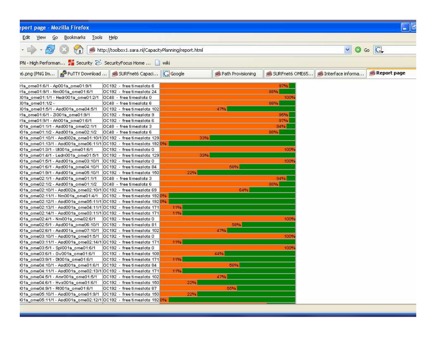| aport page - Mozilla Firefox                                                                 |                 |     |                        |                    |                          | $\Box$ e               |
|----------------------------------------------------------------------------------------------|-----------------|-----|------------------------|--------------------|--------------------------|------------------------|
| 60<br>Bookmarks Tools<br>Edit<br>View<br>Help                                                |                 |     |                        |                    |                          |                        |
| $\approx$<br>63<br>son http://toolbox1.sara.nl/CapacityPlanning/report.html<br>$\mathcal{R}$ |                 |     |                        |                    | $\vert \mathbf{v} \vert$ | $\circ$ Go $\circ$     |
| PN - High Performan 22 Security & Security Focus Home    wiki                                |                 |     |                        |                    |                          |                        |
| PuTTY Download    sot SURFnet6 Capaci<br>16.png (PNG Im                                      | <b>G</b> Google |     | sort Path Provisioning | son SURFnet6 OME65 | son Interface informa    | <b>son Report page</b> |
| 11a ome01:6/1 - Ap001a ome01:9/1<br>OC192 - free timeslots 6                                 |                 |     |                        | 97%                |                          |                        |
| 11a ome01:9/1 - Nm001a ome01:6/1<br>OC192 - free timeslots 24                                |                 |     |                        | 88%                |                          |                        |
| 001a_ome01:1/1 - Hedr001a_ome01:2/1<br>OC48 - free timeslots 0                               |                 |     |                        | 100%               |                          |                        |
| 001a ome01:1/2 -<br>OC48 - free timeslots 6                                                  |                 |     |                        | 88%                |                          |                        |
| 001a_ome01:5/1 - Asd001a_ome04:5/1<br>OC192 - free timeslots 102                             |                 |     | 47%                    |                    |                          |                        |
| 11a_ome01:6/1 - ZI001a_ome01:9/1<br>OC192 - free timeslots 9                                 |                 |     |                        | 95%                |                          |                        |
| 11a_ome01:9/1 - Ah001a_ome01:6/1<br>OC192 - free timeslots 6                                 |                 |     |                        | 97%                |                          |                        |
| 01a_ome01:1/1 - Asd001a_ome02:1/1<br>OC48 - free timeslots 3                                 |                 |     |                        | 94%                |                          |                        |
| 01a ome01:1/2 - Asd001a ome02:1/2<br>OC48 - free timeslots 6                                 |                 |     |                        | 88%                |                          |                        |
| )01a  ome01:10/1 · Asd002a  ome01:10/1 OC192  · free timeslots 129                           |                 | 33% |                        |                    |                          |                        |
| )01a        ome01:13/1 - Asd001a        ome06:11/1          0C192 - free timeslots 1920%     |                 |     |                        |                    |                          |                        |
| )01a ome01:3/1 - Ut001a ome01:6/1<br>OC192 - free timeslots 0                                |                 |     |                        | 100%               |                          |                        |
| 01a ome01:4/1 - Ledn001a ome01:5/1<br>OC192 - free timeslots 129                             |                 | 33% |                        |                    |                          |                        |
| )01a ome01:5/1 - Asd001a ome03:10/1<br>OC192 - free timeslots 0                              |                 |     |                        | 100%               |                          |                        |
| )01a_ome01:6/1 - Asd001a_ome04:10/1<br>OC192 - free timeslots 84                             |                 |     | 56%                    |                    |                          |                        |
| 01a_ome01:9/1 - Asd001a_ome05:10/1<br>OC192 - free timeslots 150                             |                 | 22% |                        |                    |                          |                        |
| )01a_ome02:1/1 - Asd001a_ome01:1/1<br>OC48 - free timeslots 3                                |                 |     |                        | 94%                |                          |                        |
| 01a_ome02:1/2 - Asd001a_ome01:1/2<br>OC48 - free timeslots 6                                 |                 |     |                        | 88%                |                          |                        |
| )01a_ome02:10/1 - Asd002a_ome02:10/1 0C192 - free timeslots 69                               |                 |     | 64%                    |                    |                          |                        |
| 01a_ome02:11/1 - Nm001a_ome01:4/1<br>OC192 - free timeslots 1920%                            |                 |     |                        |                    |                          |                        |
| )01a_ome02:12/1 - Asd001a_ome05:11/1 OC192 - free.timeslots 192 <mark>0%</mark> i            |                 |     |                        |                    |                          |                        |
| 01a_ome02:13/1 - Asd001a_ome04:11/1 0C192 - free timeslots 171                               | 11%             |     |                        |                    |                          |                        |
| 01a_ome02:14/1 - Asd001a_ome03:11/1 0C192 - free timeslots 171                               | 11%             |     |                        |                    |                          |                        |
| 01a_ome02:4/1 - Nm001a_ome02:6/1<br>OC192 - free timeslots 0                                 |                 |     |                        | 100%               |                          |                        |
| 01a_ome02:5/1 - Asd001a_ome06:10/1<br>OC192 - free timeslots 81                              |                 |     | 58%                    |                    |                          |                        |
| 01a_ome02:6/1 - Asd001a_ome07:10/1<br>OC192 - free timeslots 102                             |                 |     | 47%                    |                    |                          |                        |
| 01a ome03:10/1 - Asd001a ome01:5/1<br>OC192 - free timeslots 0                               |                 |     |                        | 100%               |                          |                        |
| )01a_ome03:11/1 - Asd001a_ome02:14/1 0C192 - free timeslots 171                              | 11%             |     |                        |                    |                          |                        |
| )01a ome03:5/1 - Spl001a ome01:6/1<br>OC192 - free timeslots 0                               |                 |     |                        | 100%               |                          |                        |
| 01a ome03:6/1 - Gv001a ome01:6/1<br>OC192 - free timeslots 108                               |                 |     | 44%                    |                    |                          |                        |
| 01a ome03:9/1 - Dt001a_ome01:6/1<br>OC192 - free timeslots 171                               | 11%             |     |                        |                    |                          |                        |
| 01a ome04:10/1 - Asd001a ome01:6/1<br>OC192 - free timeslots 84                              |                 |     | 56%                    |                    |                          |                        |
| )01a_ome04:11/1 - Asd001a_ome02:13/1 OC192 - free timeslots 171                              | 11%             |     |                        |                    |                          |                        |
| 01a ome04:5/1 - Amr001a ome01:5/1<br>OC192 - free timeslots 102                              |                 |     | 47%                    |                    |                          |                        |
| 01a ome04:6/1 - Hys001a ome01:6/1<br>OC192 - free timeslots 150                              |                 | 22% |                        |                    |                          |                        |
| 01a ome04:9/1 - Rt001a ome01:6/1<br>OC192 - free timeslots 87                                |                 |     | 55%                    |                    |                          |                        |
|                                                                                              |                 |     |                        |                    |                          |                        |
| 01a ome05:10/1 - Asd001a ome01:9/1<br>OC192 - free timeslots 150                             |                 | 22% |                        |                    |                          |                        |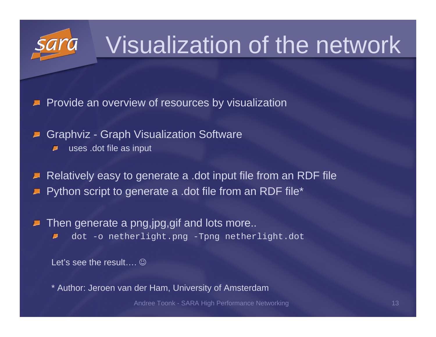# Visualization of the network

- Provide an overview of resources by visualization
- Graphviz Graph Visualization Software
	- uses .dot file as inputρ
- Relatively easy to generate a .dot input file from an RDF filePython script to generate a .dot file from an RDF file\*
- Then generate a png,jpg,gif and lots more.. dot -o netherlight.png -Tpng netherlight.dot ρ

Let's see the result….  $\mathbb{\odot}$ 

\* Author: Jeroen van der Ham, University of Amsterdam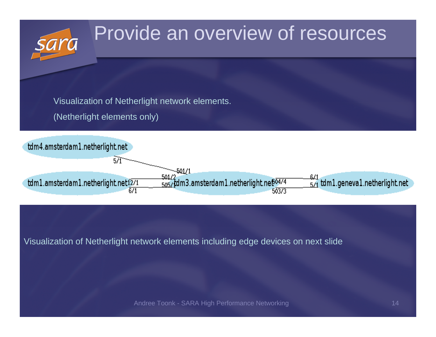

Andree Toonk - SARA High Performance Networking 14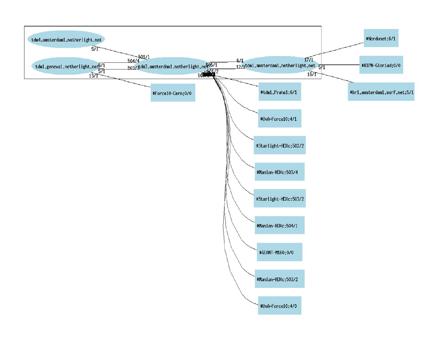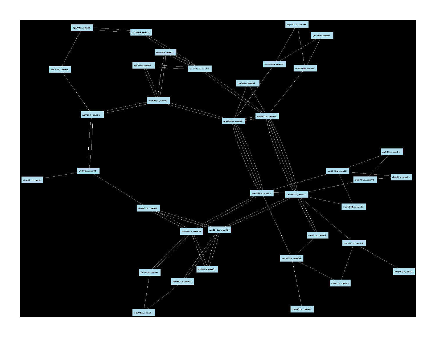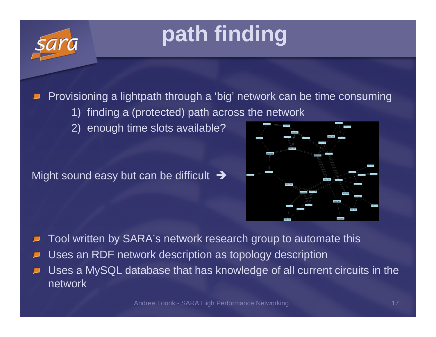# **path finding**

Provisioning a lightpath through a 'big' network can be time consuming

- 1) finding a (protected) path across the network
- 2) enough time slots available?

Might sound easy but can be difficult  $\,\rightarrow\,$ 



Tool written by SARA's network research group to automate this

- Uses an RDF network description as topology description
- Uses a MySQL database that has knowledge of all current circuits in the network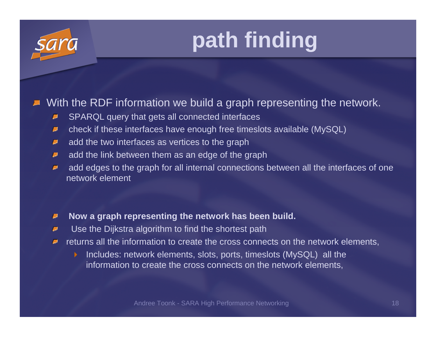

# **path finding**

### With the RDF information we build a graph representing the network.

- SPARQL query that gets all connected interfaces **D**
- check if these interfaces have enough free timeslots available (MySQL) $\overline{\phantom{a}}$
- add the two interfaces as vertices to the graph  $\blacksquare$
- add the link between them as an edge of the graph 人名
- add edges to the graph for all internal connections between all the interfaces of one Ø. network element
- **Now a graph representing the network has been build.**P
- Use the Dijkstra algorithm to find the shortest path Ø.
- returns all the information to create the cross connects on the network elements,Ø.
	- $\blacktriangleright$  Includes: network elements, slots, ports, timeslots (MySQL) all the information to create the cross connects on the network elements,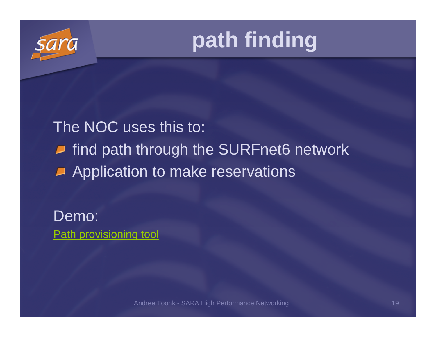



# The NOC uses this to:**F** find path through the SURFnet6 network **Application to make reservations**

Demo:Path provisioning tool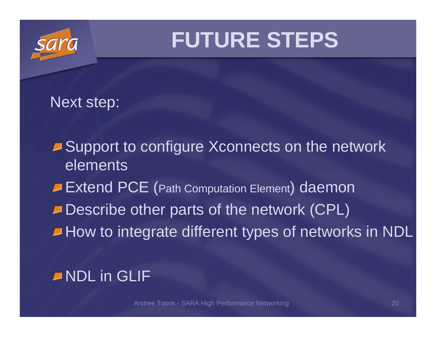# **FUTURE STEPS**

## Next step:

■ Support to configure Xconnects on the network elements

- **Extend PCE** (Path Computation Element) daemon
- **Describe other parts of the network (CPL)**
- **How to integrate different types of networks in NDL**

## NDL in GLIF